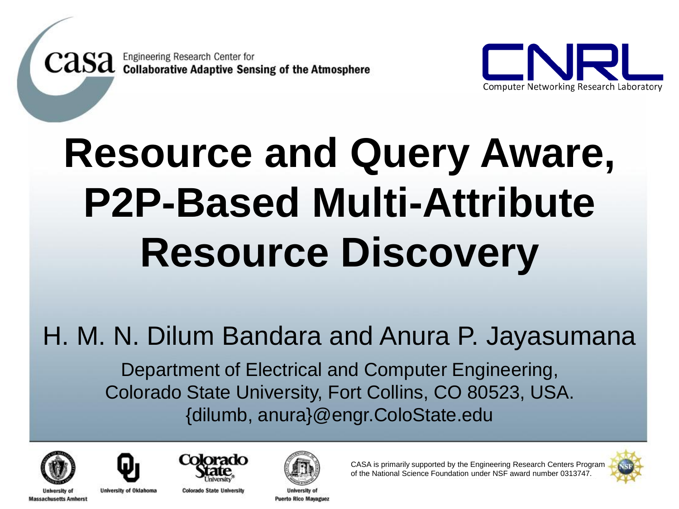**CASA** Engineering Research Center for<br>CASA Collaborative Adaptive Sensing of the Atmosphere



# **Resource and Query Aware, P2P-Based Multi-Attribute Resource Discovery**

#### H. M. N. Dilum Bandara and Anura P. Jayasumana

Department of Electrical and Computer Engineering, Colorado State University, Fort Collins, CO 80523, USA. {dilumb, anura}@engr.ColoState.edu



**University of** 



**University of Oklahoma Massachusetts Amherst** 



**Colorado State University** 



**Puerto Rico Mavaguez** 



CASA is primarily supported by the Engineering Research Centers Program of the National Science Foundation under NSF award number 0313747.

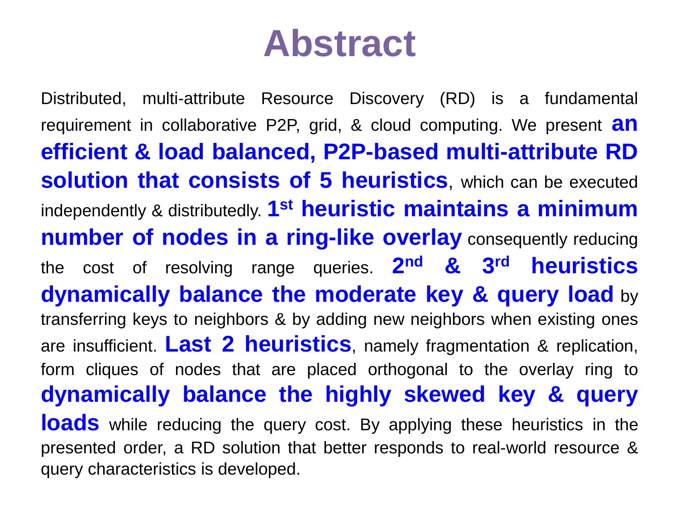#### **Abstract**

Distributed, multi-attribute Resource Discovery (RD) is a fundamental requirement in collaborative P2P, grid, & cloud computing. We present **an efficient & load balanced, P2P-based multi-attribute RD solution that consists of 5 heuristics**, which can be executed independently & distributedly. **1 st heuristic maintains a minimum number of nodes in a ring-like overlay** consequently reducing the cost of resolving range queries. **2 nd & 3 rd heuristics dynamically balance the moderate key & query load** by transferring keys to neighbors & by adding new neighbors when existing ones are insufficient. **Last 2 heuristics**, namely fragmentation & replication, form cliques of nodes that are placed orthogonal to the overlay ring to **dynamically balance the highly skewed key & query loads** while reducing the query cost. By applying these heuristics in the presented order, a RD solution that better responds to real-world resource & query characteristics is developed.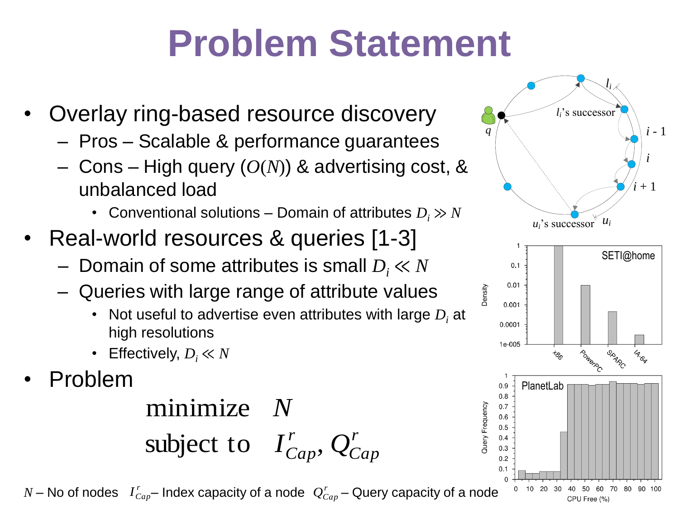# **Problem Statement**

- Overlay ring-based resource discovery
	- Pros Scalable & performance guarantees
	- Cons High query (*O*(*N*)) & advertising cost, & unbalanced load
		- Conventional solutions Domain of attributes  $D_i \gg N$
- Real-world resources & queries [1-3]
	- Domain of some attributes is small *D<sup>i</sup>* ≪ *N*
	- Queries with large range of attribute values
		- Not useful to advertise even attributes with large *D<sup>i</sup>* at high resolutions
		- Effectively,  $D_i \ll N$
- Problem

*r Cap* subject to  $I_{Cap}^r$ , *Q* minimize *N*

 $N$  – No of nodes  $I_{Cap}^r$ – Index capacity of a node  $|Q_{Cap}^r$  – Query capacity of a node

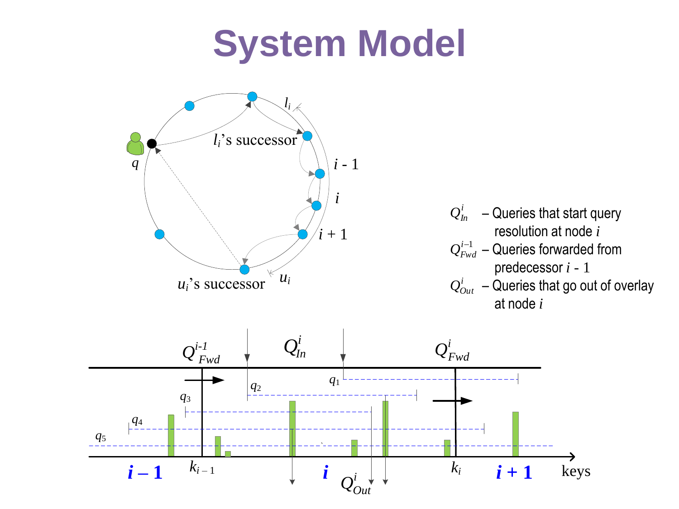### **System Model**

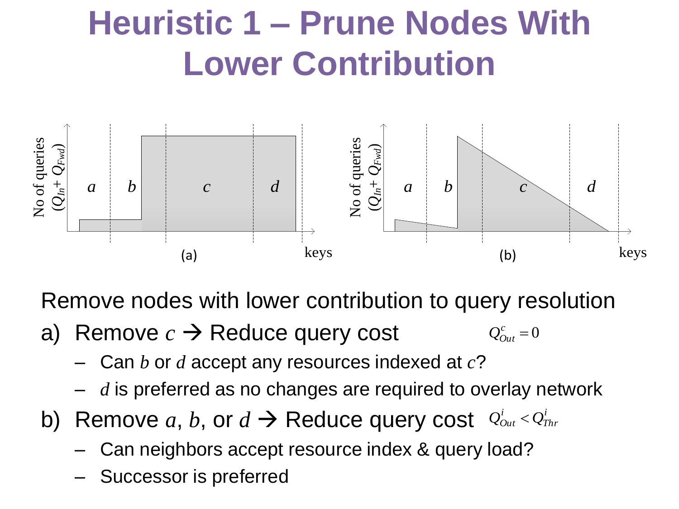### **Heuristic 1 – Prune Nodes With Lower Contribution**



Remove nodes with lower contribution to query resolution

- a) Remove  $c \rightarrow$  Reduce query cost  $Q_{Out}^c = 0$ 
	- Can *b* or *d* accept any resources indexed at *c*?
	- d is preferred as no changes are required to overlay network
- b) Remove  $a, b$ , or  $d \rightarrow$  Reduce query cost  $\varrho_{out}^i < \varrho_{in}^i$ *Thr*  $Q_{Out}^{i}$  <  $Q_{S}^{i}$ 
	- Can neighbors accept resource index & query load?
	- Successor is preferred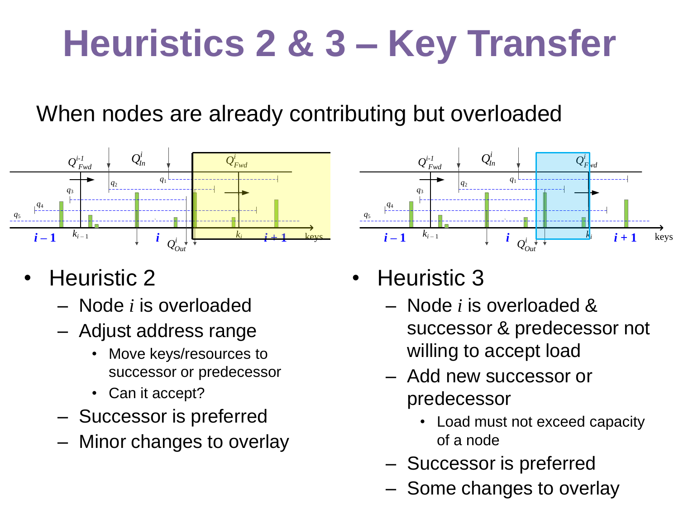# **Heuristics 2 & 3 – Key Transfer**

#### When nodes are already contributing but overloaded



- Heuristic 2
	- Node *i* is overloaded
	- Adjust address range
		- Move keys/resources to successor or predecessor
		- Can it accept?
	- Successor is preferred
	- Minor changes to overlay



- Heuristic 3
	- Node *i* is overloaded & successor & predecessor not willing to accept load
	- Add new successor or predecessor
		- Load must not exceed capacity of a node
	- Successor is preferred
	- Some changes to overlay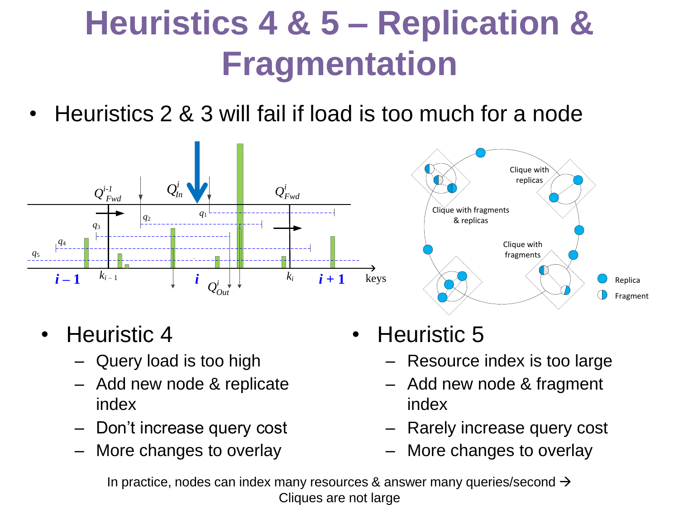### **Heuristics 4 & 5 – Replication & Fragmentation**

• Heuristics 2 & 3 will fail if load is too much for a node





- Heuristic 4
	- Query load is too high
	- Add new node & replicate index
	- Don't increase query cost
	- More changes to overlay
- Heuristic 5
	- Resource index is too large
	- Add new node & fragment index
	- Rarely increase query cost
	-

In practice, nodes can index many resources & answer many queries/second  $\rightarrow$ Cliques are not large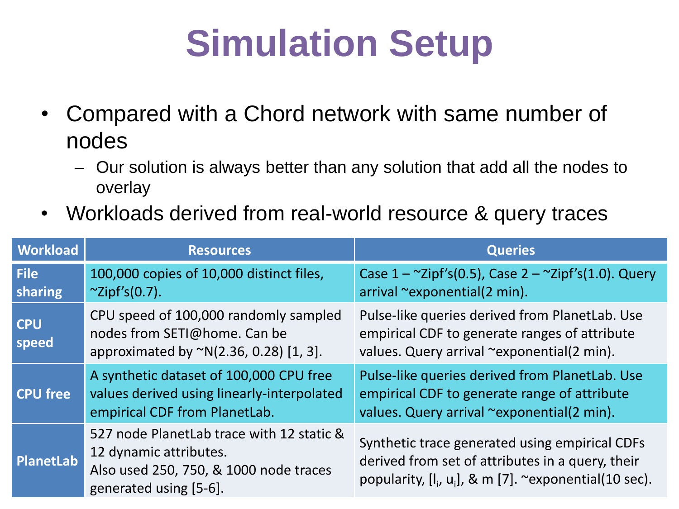## **Simulation Setup**

- Compared with a Chord network with same number of nodes
	- Our solution is always better than any solution that add all the nodes to overlay
- Workloads derived from real-world resource & query traces

| <b>Workload</b>        | <b>Resources</b>                                                                                                                        | <b>Queries</b>                                                                                                                                                  |
|------------------------|-----------------------------------------------------------------------------------------------------------------------------------------|-----------------------------------------------------------------------------------------------------------------------------------------------------------------|
| <b>File</b><br>sharing | 100,000 copies of 10,000 distinct files,<br>$\sim$ Zipf's(0.7).                                                                         | Case $1 - \frac{2}{10}$ (0.5), Case $2 - \frac{2}{10}$ (1.0). Query<br>arrival ~exponential(2 min).                                                             |
| <b>CPU</b><br>speed    | CPU speed of 100,000 randomly sampled<br>nodes from SETI@home. Can be<br>approximated by $^{\sim}N(2.36, 0.28)$ [1, 3].                 | Pulse-like queries derived from PlanetLab. Use<br>empirical CDF to generate ranges of attribute<br>values. Query arrival ~exponential(2 min).                   |
| <b>CPU free</b>        | A synthetic dataset of 100,000 CPU free<br>values derived using linearly-interpolated<br>empirical CDF from PlanetLab.                  | Pulse-like queries derived from PlanetLab. Use<br>empirical CDF to generate range of attribute<br>values. Query arrival ~exponential(2 min).                    |
| PlanetLab              | 527 node PlanetLab trace with 12 static &<br>12 dynamic attributes.<br>Also used 250, 750, & 1000 node traces<br>generated using [5-6]. | Synthetic trace generated using empirical CDFs<br>derived from set of attributes in a query, their<br>popularity, $[I_i, u_i]$ , & m [7]. ~exponential(10 sec). |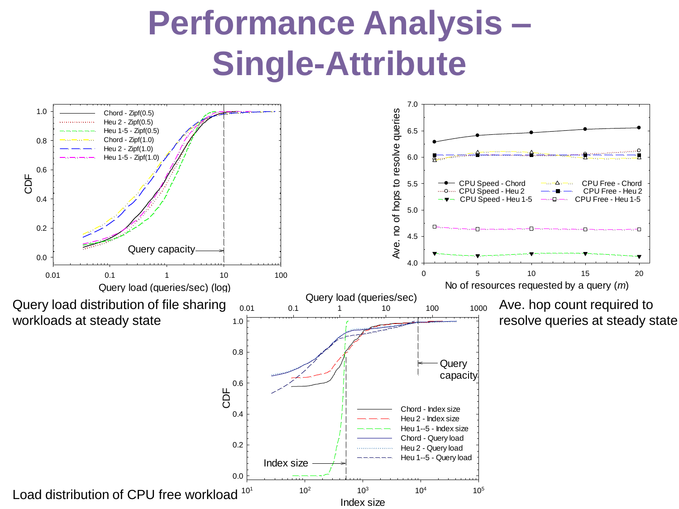#### **Performance Analysis – Single-Attribute**

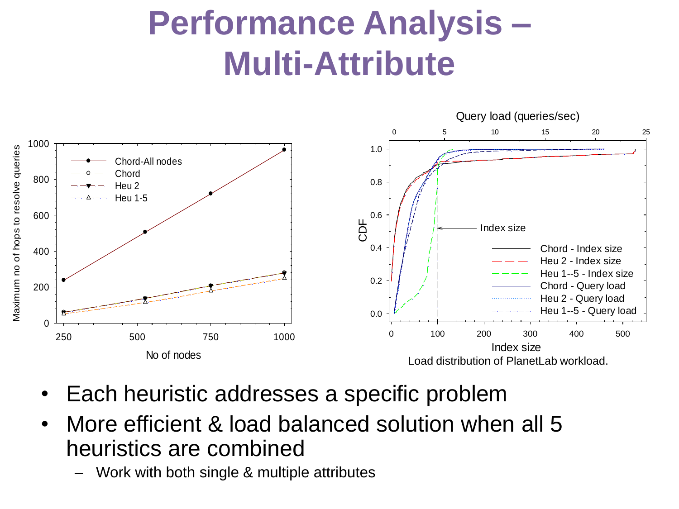#### **Performance Analysis – Multi-Attribute**



- Each heuristic addresses a specific problem
- More efficient & load balanced solution when all 5 heuristics are combined
	- Work with both single & multiple attributes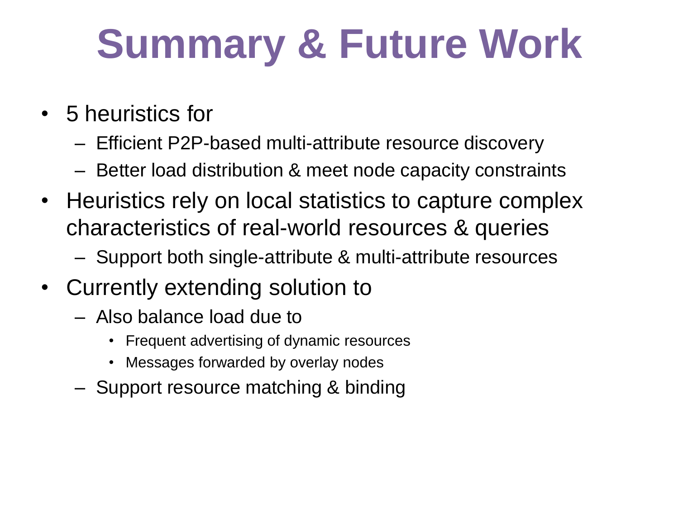# **Summary & Future Work**

- 5 heuristics for
	- Efficient P2P-based multi-attribute resource discovery
	- Better load distribution & meet node capacity constraints
- Heuristics rely on local statistics to capture complex characteristics of real-world resources & queries
	- Support both single-attribute & multi-attribute resources
- Currently extending solution to
	- Also balance load due to
		- Frequent advertising of dynamic resources
		- Messages forwarded by overlay nodes
	- Support resource matching & binding